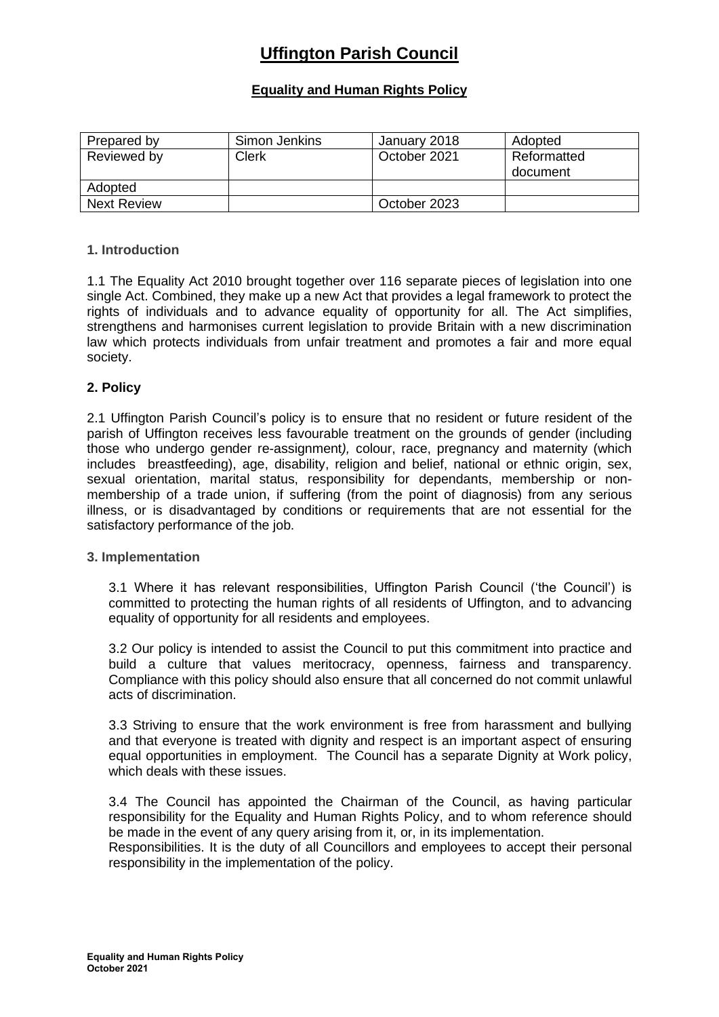# **Uffington Parish Council**

# **Equality and Human Rights Policy**

| Prepared by        | Simon Jenkins | January 2018 | Adopted                 |
|--------------------|---------------|--------------|-------------------------|
| Reviewed by        | Clerk         | October 2021 | Reformatted<br>document |
| Adopted            |               |              |                         |
| <b>Next Review</b> |               | October 2023 |                         |

### **1. Introduction**

1.1 The Equality Act 2010 brought together over 116 separate pieces of legislation into one single Act. Combined, they make up a new Act that provides a legal framework to protect the rights of individuals and to advance equality of opportunity for all. The Act simplifies, strengthens and harmonises current legislation to provide Britain with a new discrimination law which protects individuals from unfair treatment and promotes a fair and more equal society.

### **2. Policy**

2.1 Uffington Parish Council's policy is to ensure that no resident or future resident of the parish of Uffington receives less favourable treatment on the grounds of gender (including those who undergo gender re-assignment*),* colour, race, pregnancy and maternity (which includes breastfeeding), age, disability, religion and belief, national or ethnic origin, sex, sexual orientation, marital status, responsibility for dependants, membership or nonmembership of a trade union, if suffering (from the point of diagnosis) from any serious illness, or is disadvantaged by conditions or requirements that are not essential for the satisfactory performance of the job.

#### **3. Implementation**

3.1 Where it has relevant responsibilities, Uffington Parish Council ('the Council') is committed to protecting the human rights of all residents of Uffington, and to advancing equality of opportunity for all residents and employees.

3.2 Our policy is intended to assist the Council to put this commitment into practice and build a culture that values meritocracy, openness, fairness and transparency. Compliance with this policy should also ensure that all concerned do not commit unlawful acts of discrimination.

3.3 Striving to ensure that the work environment is free from harassment and bullying and that everyone is treated with dignity and respect is an important aspect of ensuring equal opportunities in employment. The Council has a separate Dignity at Work policy, which deals with these issues.

3.4 The Council has appointed the Chairman of the Council, as having particular responsibility for the Equality and Human Rights Policy, and to whom reference should be made in the event of any query arising from it, or, in its implementation.

Responsibilities. It is the duty of all Councillors and employees to accept their personal responsibility in the implementation of the policy.